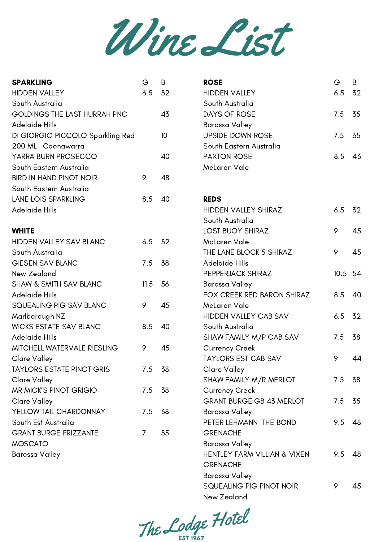

| <b>SPARKLING</b>                 | G    | B    | <b>ROSE</b>                     | G    | B  |
|----------------------------------|------|------|---------------------------------|------|----|
| <b>HIDDEN VALLEY</b>             | 6.5  | 32   | <b>HIDDEN VALLEY</b>            | 6.5  | 32 |
| South Australia                  |      |      | South Australia                 |      |    |
| GOLDINGS THE LAST HURRAH PNC     |      | 43   | <b>DAYS OF ROSE</b>             | 7.5  | 35 |
| <b>Adelaide Hills</b>            |      |      | Barossa Valley                  |      |    |
| DI GIORGIO PICCOLO Sparkling Red |      | 10   | <b>UPSIDE DOWN ROSE</b>         | 7.5  | 35 |
| 200 ML Coonawarra                |      |      | South Eastern Australia         |      |    |
| YARRA BURN PROSECCO              |      | 40   | <b>PAXTON ROSE</b>              | 8.5  | 43 |
| South Eastern Australia          |      |      | McLaren Vale                    |      |    |
| <b>BIRD IN HAND PINOT NOIR</b>   | 9    | 48   |                                 |      |    |
| South Eastern Australia          |      |      |                                 |      |    |
| LANE LOIS SPARKLING              | 8.5  | 40   | <b>REDS</b>                     |      |    |
| Adelaide Hills                   |      |      | <b>HIDDEN VALLEY SHIRAZ</b>     | 6.5  | 32 |
|                                  |      |      | South Australia                 |      |    |
| <b>WHITE</b>                     |      |      | <b>LOST BUOY SHIRAZ</b>         | 9    | 45 |
| HIDDEN VALLEY SAV BLANC          | 6.5  | 32   | McLaren Vale                    |      |    |
| South Australia                  |      |      | THE LANE BLOCK 5 SHIRAZ         | 9    | 45 |
| <b>GIESEN SAV BLANC</b>          | 7.5  | 38   | Adelaide Hills                  |      |    |
| New Zealand                      |      |      | PEPPERJACK SHIRAZ               | 10.5 | 54 |
| SHAW & SMITH SAV BLANC           | 11.5 | 56   | <b>Barossa Valley</b>           |      |    |
| Adelaide Hills                   |      |      | FOX CREEK RED BARON SHIRAZ      | 8.5  | 40 |
| SQUEALING PIG SAV BLANC          | 9    | 45   | McLaren Vale                    |      |    |
| Marlborough NZ                   |      |      | HIDDEN VALLEY CAB SAV           | 6.5  | 32 |
| <b>WICKS ESTATE SAV BLANC</b>    | 8.5  | 40   | South Australia                 |      |    |
| <b>Adelaide Hills</b>            |      |      | SHAW FAMILY M/P CAB SAV         | 7.5  | 38 |
| MITCHELL WATERVALE RIESLING      | 9    | 45   | <b>Currency Creek</b>           |      |    |
| Clare Valley                     |      |      | <b>TAYLORS EST CAB SAV</b>      | 9    | 44 |
| <b>TAYLORS ESTATE PINOT GRIS</b> | 7.5  | - 38 | Clare Valley                    |      |    |
| Clare Valley                     |      |      | SHAW FAMILY M/R MERLOT          | 7.5  | 38 |
| MR MICK'S PINOT GRIGIO           | 7.5  | 38   | <b>Currency Creek</b>           |      |    |
| Clare Valley                     |      |      | <b>GRANT BURGE GB 43 MERLOT</b> | 7.5  | 35 |
| YELLOW TAIL CHARDONNAY           | 7.5  | -38  | <b>Barossa Valley</b>           |      |    |
| South Est Australia              |      |      | PETER LEHMANN THE BOND          | 9.5  | 48 |
| <b>GRANT BURGE FRIZZANTE</b>     | 7.   | 35   | <b>GRENACHE</b>                 |      |    |
| <b>MOSCATO</b>                   |      |      | Barossa Valley                  |      |    |
| Barossa Valley                   |      |      | HENTLEY FARM VILLIAN & VIXEN    | 9.5  | 48 |
|                                  |      |      | <b>GRENACHE</b>                 |      |    |
|                                  |      |      | Barossa Valley                  |      |    |

The Lodge he Lodge Hotel

SQUEALING PIG PINOT NOIR

9

45

New Zealand